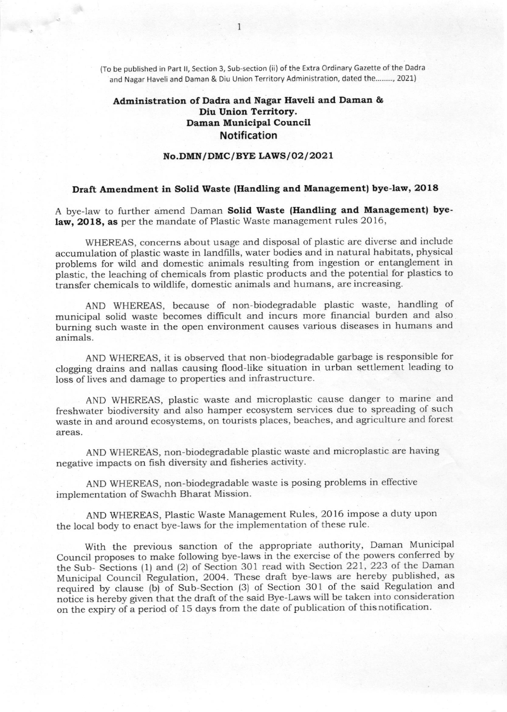(To be published in Part ll, Section 3, Sub-section (ii) of the Extra Ordinary Gazette of the Dadra and Nagar Haveli and Daman & Diu Union Territory Administration, dated the........., 2021)

## Administration of Dadra and Nagar Haveli and Daman & Diu Union Territory. Daman Municipal Council Notification

## No.DMN/DMC/BYE LAWS/02/2021

## Draft Amendment in Solid Waste (Handling and Management) bye-law, 2018

A bye-law to further amend Daman Solid Waste (Handling and Management) byelaw, 2018, as per the mandate of Plastic Waste management rules 2016,

WHEREAS, concerns about usage and disposal of plastic are diverse and include accumulation of plastic waste in landfills, water bodies and in natural habitats, physical problems for wild and domestic animals resulting from ingestion or entanglement in plastic, the leaching of chemicals from plastic products and the potential for plastics to transfer chemicals to wildlife, domestic animals and humans, are increasing.

AND WHEREAS, because of non-biodegradable plastic waste, handling of municipal solid waste becomes difficult and incurs more financial burden and also burning such waste in the open environment causes various diseases in humans and animals.

AND WHEREAS, it is observed that non-biodegradable garbage is responsible for clogging drains and nallas causing flood-like situation in urban settlement leading to loss of lives and damage to properties and infrastructure.

AND WHEREAS, plastic waste and microplastic cause danger to marine and freshwater biodiversity and also hamper ecosystem services due to spreading of such waste in and around ecosystems, on tourists places, beaches, and agriculture and forest areas.

AND WHEREAS, non-biodegradable plastic waste and microplastic are having negative impacts on frsh diversity and fisheries activity.

AND WHEREAS, non-biodegradable waste is posing problems in effective implementation of Swachh Bharat Mission.

AND WHEREAS, Plastic Waste Management Rules, 2O16 impose a duty upon the local body to enact bye-laws for the implementation of these rule.

With the previous sanction of the appropriate authority, Daman Municipal Council proposes to make following bye-laws in the exercise of the powers conferred by the Sub- Sections (1) and (2) of Section 301 read with Section 221, 223 of the Daman Municipal Council Regulation, 2004. These draft bye-laws are hereby published, as required by clause (b) of Sub-Section (3) of Section 301 of the said Regulation and notice is hereby given that the draft of the said Bye-Laws will be taken into consideration on the expiry of a period of 15 days from the date of publication of this notification.